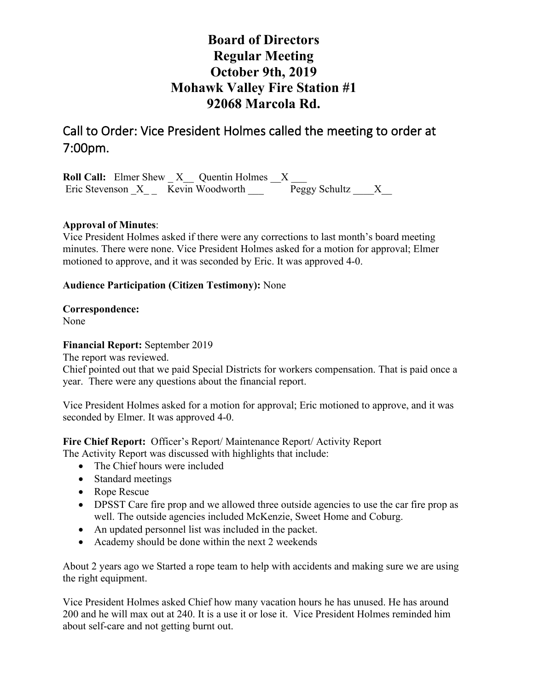# **Board of Directors Regular Meeting October 9th, 2019 Mohawk Valley Fire Station #1 92068 Marcola Rd.**

Call to Order: Vice President Holmes called the meeting to order at 7:00pm.

**Roll Call:** Elmer Shew \_ X \_ Quentin Holmes \_ X \_\_\_ Eric Stevenson \_X\_ \_ Kevin Woodworth \_\_\_ Peggy Schultz \_\_\_\_X\_\_

## **Approval of Minutes**:

Vice President Holmes asked if there were any corrections to last month's board meeting minutes. There were none. Vice President Holmes asked for a motion for approval; Elmer motioned to approve, and it was seconded by Eric. It was approved 4-0.

## **Audience Participation (Citizen Testimony):** None

**Correspondence:** 

None

## **Financial Report:** September 2019

The report was reviewed.

Chief pointed out that we paid Special Districts for workers compensation. That is paid once a year. There were any questions about the financial report.

Vice President Holmes asked for a motion for approval; Eric motioned to approve, and it was seconded by Elmer. It was approved 4-0.

**Fire Chief Report:** Officer's Report/ Maintenance Report/ Activity Report The Activity Report was discussed with highlights that include:

- The Chief hours were included
- Standard meetings
- Rope Rescue
- DPSST Care fire prop and we allowed three outside agencies to use the car fire prop as well. The outside agencies included McKenzie, Sweet Home and Coburg.
- An updated personnel list was included in the packet.
- Academy should be done within the next 2 weekends

About 2 years ago we Started a rope team to help with accidents and making sure we are using the right equipment.

Vice President Holmes asked Chief how many vacation hours he has unused. He has around 200 and he will max out at 240. It is a use it or lose it. Vice President Holmes reminded him about self-care and not getting burnt out.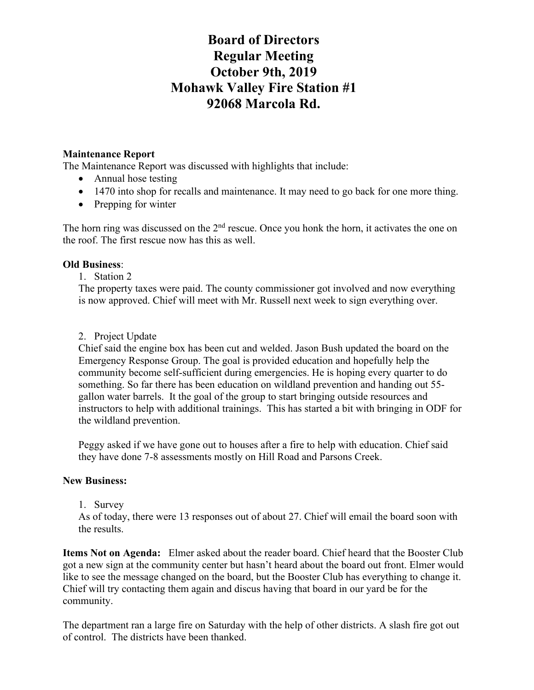# **Board of Directors Regular Meeting October 9th, 2019 Mohawk Valley Fire Station #1 92068 Marcola Rd.**

### **Maintenance Report**

The Maintenance Report was discussed with highlights that include:

- Annual hose testing
- 1470 into shop for recalls and maintenance. It may need to go back for one more thing.
- Prepping for winter

The horn ring was discussed on the  $2<sup>nd</sup>$  rescue. Once you honk the horn, it activates the one on the roof. The first rescue now has this as well.

### **Old Business**:

1. Station 2

The property taxes were paid. The county commissioner got involved and now everything is now approved. Chief will meet with Mr. Russell next week to sign everything over.

### 2. Project Update

Chief said the engine box has been cut and welded. Jason Bush updated the board on the Emergency Response Group. The goal is provided education and hopefully help the community become self-sufficient during emergencies. He is hoping every quarter to do something. So far there has been education on wildland prevention and handing out 55 gallon water barrels. It the goal of the group to start bringing outside resources and instructors to help with additional trainings. This has started a bit with bringing in ODF for the wildland prevention.

Peggy asked if we have gone out to houses after a fire to help with education. Chief said they have done 7-8 assessments mostly on Hill Road and Parsons Creek.

## **New Business:**

1. Survey

As of today, there were 13 responses out of about 27. Chief will email the board soon with the results.

**Items Not on Agenda:** Elmer asked about the reader board. Chief heard that the Booster Club got a new sign at the community center but hasn't heard about the board out front. Elmer would like to see the message changed on the board, but the Booster Club has everything to change it. Chief will try contacting them again and discus having that board in our yard be for the community.

The department ran a large fire on Saturday with the help of other districts. A slash fire got out of control. The districts have been thanked.